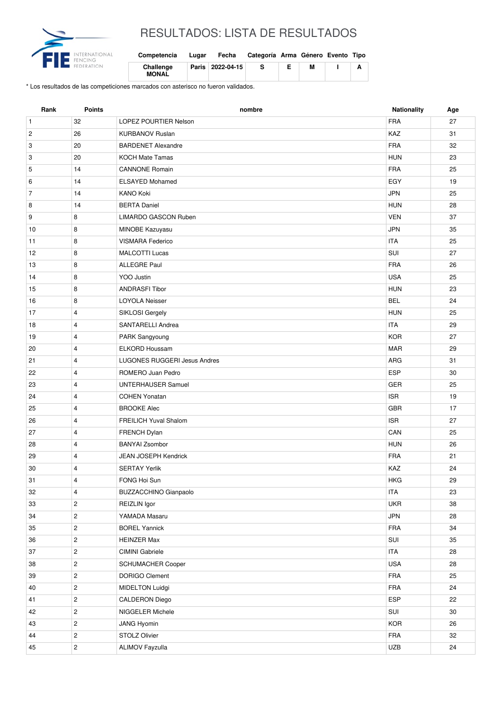

## RESULTADOS: LISTA DE RESULTADOS

| Competencia               | Lugar | Fecha            | Categoría Arma Género Evento Tipo |   |  |
|---------------------------|-------|------------------|-----------------------------------|---|--|
| Challenge<br><b>MONAL</b> |       | Paris 2022-04-15 |                                   | M |  |

\* Los resultados de las competiciones marcados con asterisco no fueron validados.

| Rank           | <b>Points</b>           | nombre                              | Nationality | Age |
|----------------|-------------------------|-------------------------------------|-------------|-----|
| $\mathbf{1}$   | 32                      | LOPEZ POURTIER Nelson               | <b>FRA</b>  | 27  |
| $\overline{c}$ | 26                      | <b>KURBANOV Ruslan</b>              | KAZ         | 31  |
| 3              | 20                      | <b>BARDENET Alexandre</b>           | <b>FRA</b>  | 32  |
| 3              | 20                      | <b>KOCH Mate Tamas</b>              | <b>HUN</b>  | 23  |
| 5              | 14                      | <b>CANNONE Romain</b>               | <b>FRA</b>  | 25  |
| 6              | 14                      | <b>ELSAYED Mohamed</b>              | EGY         | 19  |
| $\overline{7}$ | 14                      | KANO Koki                           | <b>JPN</b>  | 25  |
| 8              | 14                      | <b>BERTA Daniel</b>                 | <b>HUN</b>  | 28  |
| 9              | 8                       | LIMARDO GASCON Ruben                | <b>VEN</b>  | 37  |
| 10             | 8                       | MINOBE Kazuyasu                     | <b>JPN</b>  | 35  |
| 11             | 8                       | <b>VISMARA Federico</b>             | <b>ITA</b>  | 25  |
| 12             | 8                       | <b>MALCOTTI Lucas</b>               | SUI         | 27  |
| 13             | 8                       | <b>ALLEGRE Paul</b>                 | <b>FRA</b>  | 26  |
| 14             | 8                       | YOO Justin                          | <b>USA</b>  | 25  |
| 15             | 8                       | <b>ANDRASFI Tibor</b>               | <b>HUN</b>  | 23  |
| 16             | 8                       | <b>LOYOLA Neisser</b>               | <b>BEL</b>  | 24  |
| 17             | $\overline{4}$          | SIKLOSI Gergely                     | <b>HUN</b>  | 25  |
| 18             | $\overline{4}$          | SANTARELLI Andrea                   | <b>ITA</b>  | 29  |
| 19             | $\overline{4}$          | PARK Sangyoung                      | <b>KOR</b>  | 27  |
| 20             | 4                       | <b>ELKORD Houssam</b>               | <b>MAR</b>  | 29  |
| 21             | $\overline{4}$          | <b>LUGONES RUGGERI Jesus Andres</b> | ARG         | 31  |
| 22             | 4                       | ROMERO Juan Pedro                   | <b>ESP</b>  | 30  |
| 23             | $\overline{4}$          | <b>UNTERHAUSER Samuel</b>           | <b>GER</b>  | 25  |
| 24             | 4                       | <b>COHEN Yonatan</b>                | <b>ISR</b>  | 19  |
| 25             | $\overline{4}$          | <b>BROOKE Alec</b>                  | <b>GBR</b>  | 17  |
| 26             | $\overline{4}$          | <b>FREILICH Yuval Shalom</b>        | <b>ISR</b>  | 27  |
| 27             | $\overline{4}$          | FRENCH Dylan                        | CAN         | 25  |
| 28             | $\overline{4}$          | <b>BANYAI Zsombor</b>               | <b>HUN</b>  | 26  |
| 29             | $\overline{4}$          | JEAN JOSEPH Kendrick                | <b>FRA</b>  | 21  |
| 30             | 4                       | <b>SERTAY Yerlik</b>                | KAZ         | 24  |
| 31             | 4                       | FONG Hoi Sun                        | <b>HKG</b>  | 29  |
| 32             | 4                       | <b>BUZZACCHINO Gianpaolo</b>        | ITA         | 23  |
| 33             | $\overline{c}$          | REIZLIN Igor                        | <b>UKR</b>  | 38  |
| 34             | $\overline{\mathbf{c}}$ | YAMADA Masaru                       | JPN         | 28  |
| 35             | $\overline{2}$          | <b>BOREL Yannick</b>                | FRA         | 34  |
| 36             | $\overline{2}$          | <b>HEINZER Max</b>                  | SUI         | 35  |
| 37             | $\overline{c}$          | CIMINI Gabriele                     | <b>ITA</b>  | 28  |
| 38             | $\overline{c}$          | SCHUMACHER Cooper                   | USA         | 28  |
| 39             | $\mathbf{2}$            | <b>DORIGO Clement</b>               | FRA         | 25  |
| 40             | $\mathbf{2}$            | <b>MIDELTON Luidgi</b>              | FRA         | 24  |
| 41             | $\overline{c}$          | CALDERON Diego                      | ESP         | 22  |
| 42             | $\overline{c}$          | NIGGELER Michele                    | SUI         | 30  |
| 43             | $\overline{c}$          | JANG Hyomin                         | <b>KOR</b>  | 26  |
| 44             | $\overline{\mathbf{c}}$ | STOLZ Olivier                       | FRA         | 32  |
| 45             | $\overline{c}$          | <b>ALIMOV Fayzulla</b>              | <b>UZB</b>  | 24  |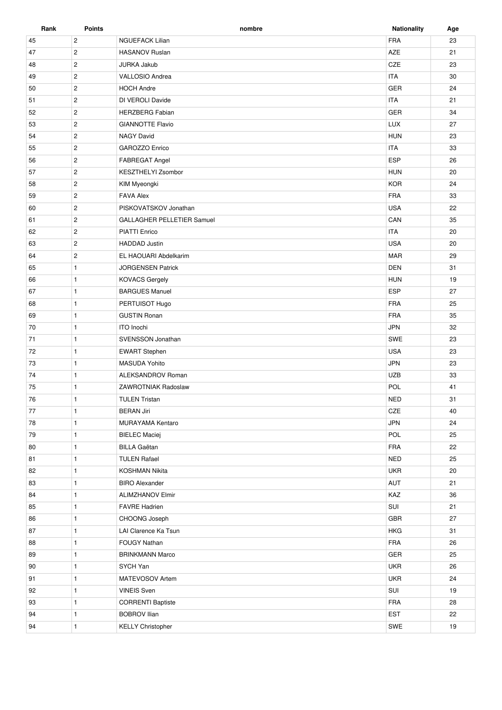| Rank | <b>Points</b>  | nombre                            | <b>Nationality</b> | Age |
|------|----------------|-----------------------------------|--------------------|-----|
| 45   | $\mathbf{2}$   | <b>NGUEFACK Lilian</b>            | <b>FRA</b>         | 23  |
| 47   | $\mathbf{2}$   | <b>HASANOV Ruslan</b>             | AZE                | 21  |
| 48   | $\overline{c}$ | <b>JURKA Jakub</b>                | CZE                | 23  |
| 49   | $\mathbf{2}$   | VALLOSIO Andrea                   | <b>ITA</b>         | 30  |
| 50   | $\mathbf{2}$   | <b>HOCH Andre</b>                 | GER                | 24  |
| 51   | $\overline{c}$ | DI VEROLI Davide                  | <b>ITA</b>         | 21  |
| 52   | $\mathbf{2}$   | <b>HERZBERG Fabian</b>            | <b>GER</b>         | 34  |
| 53   | $\overline{c}$ | <b>GIANNOTTE Flavio</b>           | <b>LUX</b>         | 27  |
| 54   | $\overline{2}$ | <b>NAGY David</b>                 | <b>HUN</b>         | 23  |
| 55   | $\overline{c}$ | GAROZZO Enrico                    | <b>ITA</b>         | 33  |
| 56   | $\sqrt{2}$     | FABREGAT Angel                    | <b>ESP</b>         | 26  |
| 57   | $\overline{c}$ | KESZTHELYI Zsombor                | <b>HUN</b>         | 20  |
| 58   | $\overline{c}$ | KIM Myeongki                      | <b>KOR</b>         | 24  |
| 59   | $\sqrt{2}$     | <b>FAVA Alex</b>                  | FRA                | 33  |
| 60   | $\overline{c}$ | PISKOVATSKOV Jonathan             | <b>USA</b>         | 22  |
|      | $\overline{c}$ | <b>GALLAGHER PELLETIER Samuel</b> | CAN                | 35  |
| 61   |                |                                   | <b>ITA</b>         | 20  |
| 62   | $\mathbf{2}$   | <b>PIATTI Enrico</b>              |                    |     |
| 63   | $\mathbf{2}$   | <b>HADDAD</b> Justin              | <b>USA</b>         | 20  |
| 64   | $\mathbf{2}$   | EL HAOUARI Abdelkarim             | <b>MAR</b>         | 29  |
| 65   | $\mathbf{1}$   | <b>JORGENSEN Patrick</b>          | <b>DEN</b>         | 31  |
| 66   | $\mathbf{1}$   | <b>KOVACS Gergely</b>             | <b>HUN</b>         | 19  |
| 67   | $\mathbf{1}$   | <b>BARGUES Manuel</b>             | <b>ESP</b>         | 27  |
| 68   | $\mathbf{1}$   | PERTUISOT Hugo                    | <b>FRA</b>         | 25  |
| 69   | $\mathbf{1}$   | <b>GUSTIN Ronan</b>               | <b>FRA</b>         | 35  |
| 70   | $\mathbf{1}$   | <b>ITO</b> Inochi                 | <b>JPN</b>         | 32  |
| 71   | $\mathbf{1}$   | SVENSSON Jonathan                 | SWE                | 23  |
| 72   | $\mathbf{1}$   | <b>EWART Stephen</b>              | <b>USA</b>         | 23  |
| 73   | $\mathbf{1}$   | <b>MASUDA Yohito</b>              | <b>JPN</b>         | 23  |
| 74   | $\mathbf{1}$   | ALEKSANDROV Roman                 | <b>UZB</b>         | 33  |
| 75   | $\mathbf{1}$   | ZAWROTNIAK Radoslaw               | POL                | 41  |
| 76   | $\mathbf{1}$   | <b>TULEN Tristan</b>              | <b>NED</b>         | 31  |
| 77   | $\mathbf{1}$   | <b>BERAN Jiri</b>                 | CZE                | 40  |
| 78   | $\mathbf{1}$   | MURAYAMA Kentaro                  | <b>JPN</b>         | 24  |
| 79   | $\mathbf{1}$   | <b>BIELEC Maciej</b>              | POL                | 25  |
| 80   | $\mathbf{1}$   | <b>BILLA Gaëtan</b>               | FRA                | 22  |
| 81   | $\mathbf{1}$   | <b>TULEN Rafael</b>               | <b>NED</b>         | 25  |
| 82   | $\mathbf{1}$   | <b>KOSHMAN Nikita</b>             | <b>UKR</b>         | 20  |
| 83   | $\mathbf{1}$   | <b>BIRO Alexander</b>             | AUT                | 21  |
| 84   | $\mathbf{1}$   | <b>ALIMZHANOV Elmir</b>           | KAZ                | 36  |
| 85   | $\mathbf{1}$   | <b>FAVRE Hadrien</b>              | SUI                | 21  |
| 86   | $\mathbf{1}$   | CHOONG Joseph                     | GBR                | 27  |
| 87   | $\mathbf{1}$   | LAI Clarence Ka Tsun              | <b>HKG</b>         | 31  |
| 88   | $\mathbf{1}$   | <b>FOUGY Nathan</b>               | FRA                | 26  |
| 89   | $\mathbf{1}$   | <b>BRINKMANN Marco</b>            | GER                | 25  |
| 90   | $\mathbf{1}$   | SYCH Yan                          | <b>UKR</b>         | 26  |
| 91   | $\mathbf{1}$   | MATEVOSOV Artem                   | <b>UKR</b>         | 24  |
| 92   | $\mathbf{1}$   | <b>VINEIS Sven</b>                | SUI                | 19  |
| 93   | $\mathbf{1}$   | <b>CORRENTI Baptiste</b>          | FRA                | 28  |
|      | $\mathbf{1}$   | <b>BOBROV Ilian</b>               | <b>EST</b>         | 22  |
| 94   |                |                                   |                    |     |
| 94   | $\mathbf{1}$   | <b>KELLY Christopher</b>          | SWE                | 19  |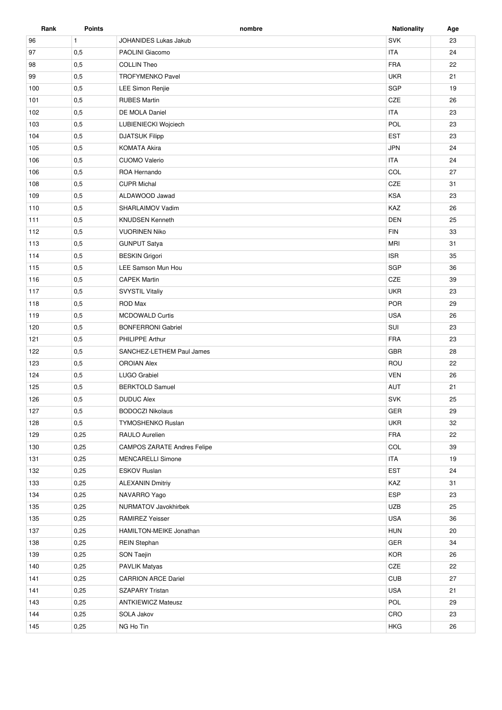| Rank | <b>Points</b> | nombre                             | <b>Nationality</b> | Age |
|------|---------------|------------------------------------|--------------------|-----|
| 96   | $\mathbf{1}$  | JOHANIDES Lukas Jakub              | <b>SVK</b>         | 23  |
| 97   | 0,5           | PAOLINI Giacomo                    | <b>ITA</b>         | 24  |
| 98   | 0,5           | <b>COLLIN Theo</b>                 | <b>FRA</b>         | 22  |
| 99   | 0,5           | <b>TROFYMENKO Pavel</b>            | <b>UKR</b>         | 21  |
| 100  | 0,5           | LEE Simon Renjie                   | SGP                | 19  |
| 101  | 0,5           | <b>RUBES Martin</b>                | CZE                | 26  |
| 102  | 0,5           | DE MOLA Daniel                     | <b>ITA</b>         | 23  |
| 103  | 0,5           | LUBIENIECKI Wojciech               | POL                | 23  |
| 104  | 0,5           | <b>DJATSUK Filipp</b>              | <b>EST</b>         | 23  |
| 105  | 0,5           | <b>KOMATA Akira</b>                | <b>JPN</b>         | 24  |
| 106  | 0,5           | <b>CUOMO Valerio</b>               | <b>ITA</b>         | 24  |
| 106  | 0,5           | ROA Hernando                       | COL                | 27  |
| 108  | 0,5           | <b>CUPR Michal</b>                 | CZE                | 31  |
| 109  | 0,5           | ALDAWOOD Jawad                     | <b>KSA</b>         | 23  |
|      |               |                                    | KAZ                | 26  |
| 110  | 0,5           | SHARLAIMOV Vadim                   |                    |     |
| 111  | 0,5           | <b>KNUDSEN Kenneth</b>             | <b>DEN</b>         | 25  |
| 112  | 0,5           | <b>VUORINEN Niko</b>               | <b>FIN</b>         | 33  |
| 113  | 0,5           | <b>GUNPUT Satya</b>                | <b>MRI</b>         | 31  |
| 114  | 0,5           | <b>BESKIN Grigori</b>              | <b>ISR</b>         | 35  |
| 115  | 0,5           | LEE Samson Mun Hou                 | SGP                | 36  |
| 116  | 0,5           | <b>CAPEK Martin</b>                | <b>CZE</b>         | 39  |
| 117  | 0,5           | SVYSTIL Vitaliy                    | <b>UKR</b>         | 23  |
| 118  | 0,5           | ROD Max                            | <b>POR</b>         | 29  |
| 119  | 0,5           | <b>MCDOWALD Curtis</b>             | <b>USA</b>         | 26  |
| 120  | 0,5           | <b>BONFERRONI Gabriel</b>          | SUI                | 23  |
| 121  | 0,5           | PHILIPPE Arthur                    | <b>FRA</b>         | 23  |
| 122  | 0,5           | SANCHEZ-LETHEM Paul James          | GBR                | 28  |
| 123  | 0,5           | <b>OROIAN Alex</b>                 | ROU                | 22  |
| 124  | 0,5           | <b>LUGO Grabiel</b>                | <b>VEN</b>         | 26  |
| 125  | 0,5           | <b>BERKTOLD Samuel</b>             | <b>AUT</b>         | 21  |
| 126  | 0,5           | <b>DUDUC Alex</b>                  | <b>SVK</b>         | 25  |
| 127  | 0,5           | <b>BODOCZI Nikolaus</b>            | GER                | 29  |
| 128  | 0,5           | <b>TYMOSHENKO Ruslan</b>           | <b>UKR</b>         | 32  |
| 129  | 0,25          | <b>RAULO Aurelien</b>              | <b>FRA</b>         | 22  |
| 130  | 0,25          | <b>CAMPOS ZARATE Andres Felipe</b> | COL                | 39  |
| 131  | 0,25          | <b>MENCARELLI Simone</b>           | <b>ITA</b>         | 19  |
| 132  | 0,25          | <b>ESKOV Ruslan</b>                | EST                | 24  |
| 133  | 0,25          | <b>ALEXANIN Dmitriy</b>            | KAZ                | 31  |
| 134  | 0,25          | NAVARRO Yago                       | <b>ESP</b>         | 23  |
| 135  | 0,25          | NURMATOV Javokhirbek               | <b>UZB</b>         | 25  |
| 135  | 0,25          | <b>RAMIREZ Yeisser</b>             | <b>USA</b>         | 36  |
| 137  | 0,25          | HAMILTON-MEIKE Jonathan            | <b>HUN</b>         | 20  |
| 138  | 0,25          | <b>REIN Stephan</b>                | GER                | 34  |
| 139  | 0,25          | SON Taejin                         | <b>KOR</b>         | 26  |
| 140  | 0,25          | <b>PAVLIK Matyas</b>               | CZE                | 22  |
| 141  | 0,25          | <b>CARRION ARCE Dariel</b>         | CUB                | 27  |
| 141  | 0,25          | <b>SZAPARY Tristan</b>             | <b>USA</b>         | 21  |
| 143  |               | <b>ANTKIEWICZ Mateusz</b>          | POL                | 29  |
|      | 0,25          |                                    |                    |     |
| 144  | 0,25          | SOLA Jakov                         | CRO                | 23  |
| 145  | 0,25          | NG Ho Tin                          | <b>HKG</b>         | 26  |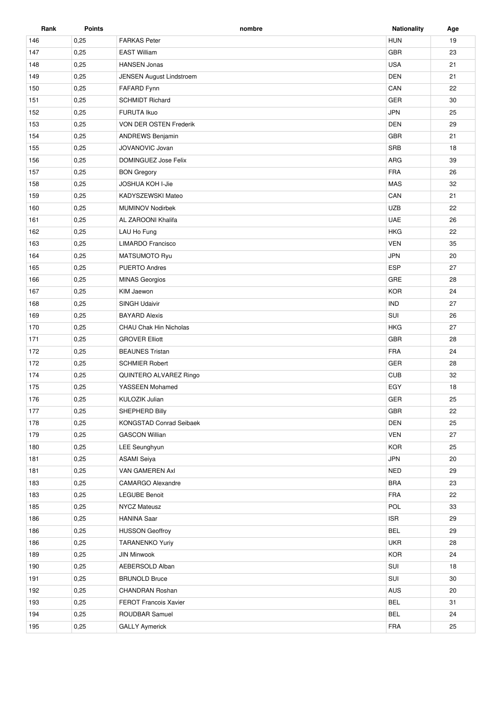| Rank | <b>Points</b> | nombre                        | <b>Nationality</b> | Age |
|------|---------------|-------------------------------|--------------------|-----|
| 146  | 0,25          | <b>FARKAS Peter</b>           | <b>HUN</b>         | 19  |
| 147  | 0,25          | <b>EAST William</b>           | GBR                | 23  |
| 148  | 0,25          | <b>HANSEN Jonas</b>           | <b>USA</b>         | 21  |
| 149  | 0,25          | JENSEN August Lindstroem      | <b>DEN</b>         | 21  |
| 150  | 0,25          | FAFARD Fynn                   | CAN                | 22  |
| 151  | 0,25          | <b>SCHMIDT Richard</b>        | GER                | 30  |
| 152  | 0,25          | <b>FURUTA Ikuo</b>            | <b>JPN</b>         | 25  |
| 153  | 0,25          | VON DER OSTEN Frederik        | DEN                | 29  |
| 154  | 0,25          | <b>ANDREWS Benjamin</b>       | <b>GBR</b>         | 21  |
| 155  | 0,25          | JOVANOVIC Jovan               | <b>SRB</b>         | 18  |
| 156  | 0,25          | DOMINGUEZ Jose Felix          | ARG                | 39  |
| 157  | 0,25          | <b>BON Gregory</b>            | <b>FRA</b>         | 26  |
| 158  | 0,25          | <b>JOSHUA KOH I-Jie</b>       | MAS                | 32  |
| 159  | 0,25          | KADYSZEWSKI Mateo             | CAN                | 21  |
| 160  | 0,25          | MUMINOV Nodirbek              | <b>UZB</b>         | 22  |
| 161  | 0,25          | AL ZAROONI Khalifa            | <b>UAE</b>         | 26  |
| 162  | 0,25          | LAU Ho Fung                   | <b>HKG</b>         | 22  |
| 163  | 0,25          | <b>LIMARDO Francisco</b>      | <b>VEN</b>         | 35  |
| 164  | 0,25          | MATSUMOTO Ryu                 | <b>JPN</b>         | 20  |
| 165  | 0,25          | <b>PUERTO Andres</b>          | ESP                | 27  |
| 166  | 0,25          | <b>MINAS Georgios</b>         | GRE                | 28  |
| 167  | 0,25          | KIM Jaewon                    | <b>KOR</b>         | 24  |
| 168  | 0,25          | <b>SINGH Udaivir</b>          | <b>IND</b>         | 27  |
| 169  | 0,25          | <b>BAYARD Alexis</b>          | SUI                | 26  |
| 170  | 0,25          | <b>CHAU Chak Hin Nicholas</b> | <b>HKG</b>         | 27  |
| 171  | 0,25          | <b>GROVER Elliott</b>         | <b>GBR</b>         | 28  |
| 172  | 0,25          | <b>BEAUNES Tristan</b>        | <b>FRA</b>         | 24  |
| 172  | 0,25          | <b>SCHMIER Robert</b>         | GER                | 28  |
| 174  | 0,25          | QUINTERO ALVAREZ Ringo        | <b>CUB</b>         | 32  |
| 175  | 0,25          | YASSEEN Mohamed               | EGY                | 18  |
| 176  | 0,25          | KULOZIK Julian                | GER                | 25  |
| 177  | 0,25          | SHEPHERD Billy                | GBR                | 22  |
| 178  | 0,25          | KONGSTAD Conrad Seibaek       | DEN                | 25  |
| 179  | 0,25          | <b>GASCON Willian</b>         | <b>VEN</b>         | 27  |
| 180  | 0,25          | LEE Seunghyun                 | <b>KOR</b>         | 25  |
| 181  | 0,25          | ASAMI Seiya                   | <b>JPN</b>         | 20  |
| 181  | 0,25          | VAN GAMEREN Axl               | <b>NED</b>         | 29  |
| 183  | 0,25          | <b>CAMARGO Alexandre</b>      | <b>BRA</b>         | 23  |
| 183  | 0,25          | <b>LEGUBE Benoit</b>          | FRA                | 22  |
| 185  | 0,25          | NYCZ Mateusz                  | POL                | 33  |
| 186  | 0,25          | <b>HANINA Saar</b>            | <b>ISR</b>         | 29  |
| 186  | 0,25          | <b>HUSSON Geoffroy</b>        | <b>BEL</b>         | 29  |
| 186  | 0,25          | <b>TARANENKO Yuriy</b>        | <b>UKR</b>         | 28  |
| 189  | 0,25          | <b>JIN Minwook</b>            | <b>KOR</b>         | 24  |
| 190  | 0,25          | AEBERSOLD Alban               | SUI                | 18  |
| 191  | 0,25          | <b>BRUNOLD Bruce</b>          | SUI                | 30  |
| 192  | 0,25          | <b>CHANDRAN Roshan</b>        | AUS                | 20  |
| 193  | 0,25          | <b>FEROT Francois Xavier</b>  | <b>BEL</b>         | 31  |
| 194  | 0,25          | ROUDBAR Samuel                | <b>BEL</b>         | 24  |
|      |               |                               |                    |     |
| 195  | 0,25          | <b>GALLY Aymerick</b>         | <b>FRA</b>         | 25  |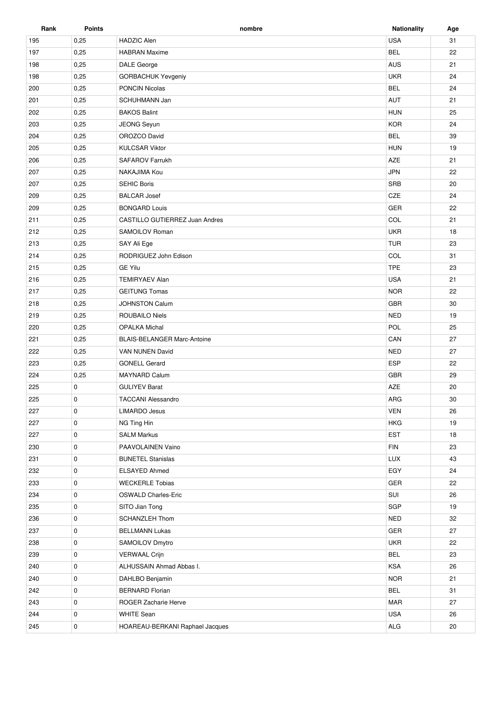| Rank | <b>Points</b> | nombre                             | <b>Nationality</b> | Age |
|------|---------------|------------------------------------|--------------------|-----|
| 195  | 0,25          | <b>HADZIC Alen</b>                 | <b>USA</b>         | 31  |
| 197  | 0,25          | <b>HABRAN Maxime</b>               | <b>BEL</b>         | 22  |
| 198  | 0,25          | DALE George                        | AUS                | 21  |
| 198  | 0,25          | GORBACHUK Yevgeniy                 | <b>UKR</b>         | 24  |
| 200  | 0,25          | <b>PONCIN Nicolas</b>              | <b>BEL</b>         | 24  |
| 201  | 0,25          | SCHUHMANN Jan                      | <b>AUT</b>         | 21  |
| 202  | 0,25          | <b>BAKOS Balint</b>                | <b>HUN</b>         | 25  |
| 203  | 0,25          | JEONG Seyun                        | <b>KOR</b>         | 24  |
| 204  | 0,25          | OROZCO David                       | <b>BEL</b>         | 39  |
| 205  | 0,25          | <b>KULCSAR Viktor</b>              | <b>HUN</b>         | 19  |
| 206  | 0,25          | <b>SAFAROV Farrukh</b>             | AZE                | 21  |
| 207  | 0,25          | NAKAJIMA Kou                       | <b>JPN</b>         | 22  |
| 207  | 0,25          | <b>SEHIC Boris</b>                 | SRB                | 20  |
| 209  | 0,25          | <b>BALCAR Josef</b>                | CZE                | 24  |
| 209  | 0,25          | <b>BONGARD Louis</b>               | GER                | 22  |
| 211  | 0,25          | CASTILLO GUTIERREZ Juan Andres     | COL                | 21  |
| 212  | 0,25          | SAMOILOV Roman                     | <b>UKR</b>         | 18  |
| 213  | 0,25          | SAY Ali Ege                        | <b>TUR</b>         | 23  |
| 214  | 0,25          | RODRIGUEZ John Edison              | COL                | 31  |
| 215  | 0,25          | <b>GE Yilu</b>                     | <b>TPE</b>         | 23  |
| 216  | 0,25          | <b>TEMIRYAEV Alan</b>              | <b>USA</b>         | 21  |
| 217  | 0,25          | <b>GEITUNG Tomas</b>               | <b>NOR</b>         | 22  |
| 218  | 0,25          | <b>JOHNSTON Calum</b>              | <b>GBR</b>         | 30  |
| 219  | 0,25          | <b>ROUBAILO Niels</b>              | <b>NED</b>         | 19  |
| 220  | 0,25          | <b>OPALKA Michal</b>               | POL                | 25  |
| 221  | 0,25          | <b>BLAIS-BELANGER Marc-Antoine</b> | CAN                | 27  |
| 222  | 0,25          | VAN NUNEN David                    | <b>NED</b>         | 27  |
| 223  | 0,25          | <b>GONELL Gerard</b>               | <b>ESP</b>         | 22  |
| 224  | 0,25          | <b>MAYNARD Calum</b>               | <b>GBR</b>         | 29  |
| 225  | 0             | <b>GULIYEV Barat</b>               | AZE                | 20  |
| 225  | 0             | <b>TACCANI Alessandro</b>          | <b>ARG</b>         | 30  |
| 227  | 0             | <b>LIMARDO Jesus</b>               | <b>VEN</b>         | 26  |
| 227  | 0             | NG Ting Hin                        | <b>HKG</b>         | 19  |
| 227  | 0             | <b>SALM Markus</b>                 | <b>EST</b>         | 18  |
| 230  | $\mathbf 0$   | PAAVOLAINEN Vaino                  | <b>FIN</b>         | 23  |
| 231  | 0             | <b>BUNETEL Stanislas</b>           | LUX                | 43  |
| 232  | 0             | <b>ELSAYED Ahmed</b>               | EGY                | 24  |
| 233  | 0             | <b>WECKERLE Tobias</b>             | GER                | 22  |
| 234  | 0             | <b>OSWALD Charles-Eric</b>         | SUI                | 26  |
| 235  | 0             | SITO Jian Tong                     | SGP                | 19  |
| 236  | 0             | <b>SCHANZLEH Thom</b>              | <b>NED</b>         | 32  |
| 237  | 0             | <b>BELLMANN Lukas</b>              | GER                | 27  |
| 238  | 0             | SAMOILOV Dmytro                    | <b>UKR</b>         | 22  |
| 239  | 0             | <b>VERWAAL Crijn</b>               | <b>BEL</b>         | 23  |
| 240  | 0             | ALHUSSAIN Ahmad Abbas I.           | KSA                | 26  |
| 240  | $\mathbf 0$   | DAHLBO Benjamin                    | <b>NOR</b>         | 21  |
| 242  | 0             | <b>BERNARD Florian</b>             | <b>BEL</b>         | 31  |
| 243  | 0             | ROGER Zacharie Herve               | <b>MAR</b>         | 27  |
| 244  | 0             | <b>WHITE Sean</b>                  | <b>USA</b>         | 26  |
|      |               |                                    |                    |     |
| 245  | $\mathbf 0$   | HOAREAU-BERKANI Raphael Jacques    | ALG                | 20  |